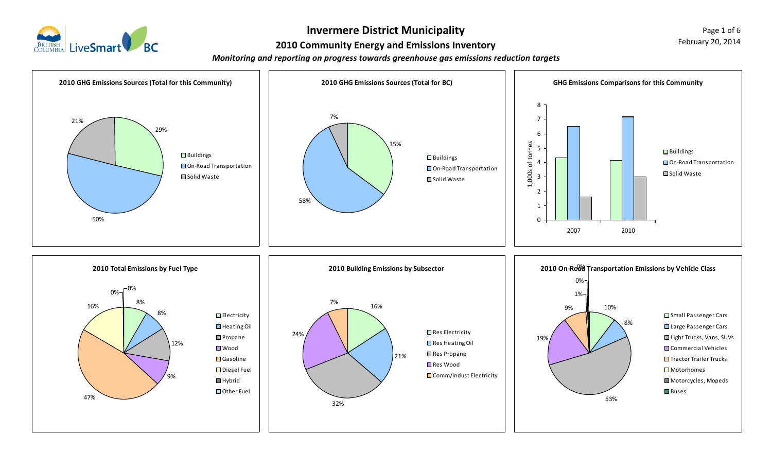

# **2010 Community Energy and Emissions Inventory**

Page 1 of 6 February 20, 2014

*Monitoring and reporting on progress towards greenhouse gas emissions reduction targets*

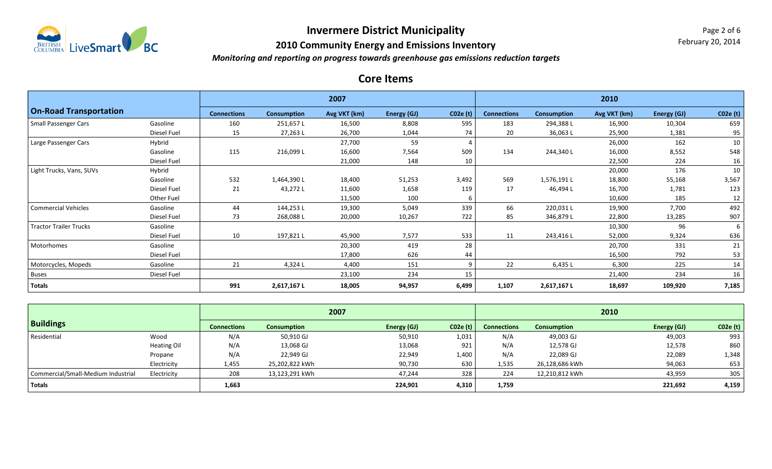

# **2010 Community Energy and Emissions Inventory**

# *Monitoring and reporting on progress towards greenhouse gas emissions reduction targets*

# **Core Items**

|                               |             |                    |                    | 2007         |             |         |                    |                    | 2010         |             |         |
|-------------------------------|-------------|--------------------|--------------------|--------------|-------------|---------|--------------------|--------------------|--------------|-------------|---------|
| <b>On-Road Transportation</b> |             | <b>Connections</b> | <b>Consumption</b> | Avg VKT (km) | Energy (GJ) | CO2e(t) | <b>Connections</b> | <b>Consumption</b> | Avg VKT (km) | Energy (GJ) | CO2e(t) |
| <b>Small Passenger Cars</b>   | Gasoline    | 160                | 251,657L           | 16,500       | 8,808       | 595     | 183                | 294,388L           | 16,900       | 10,304      | 659     |
|                               | Diesel Fuel | 15                 | 27,263L            | 26,700       | 1,044       | 74      | 20                 | 36,063L            | 25,900       | 1,381       | 95      |
| Large Passenger Cars          | Hybrid      |                    |                    | 27,700       | 59          |         |                    |                    | 26,000       | 162         | 10      |
|                               | Gasoline    | 115                | 216,099L           | 16,600       | 7,564       | 509     | 134                | 244,340L           | 16,000       | 8,552       | 548     |
|                               | Diesel Fuel |                    |                    | 21,000       | 148         | 10      |                    |                    | 22,500       | 224         | 16      |
| Light Trucks, Vans, SUVs      | Hybrid      |                    |                    |              |             |         |                    |                    | 20,000       | 176         | 10      |
|                               | Gasoline    | 532                | 1,464,390L         | 18,400       | 51,253      | 3,492   | 569                | 1,576,191L         | 18,800       | 55,168      | 3,567   |
|                               | Diesel Fuel | 21                 | 43,272L            | 11,600       | 1,658       | 119     | 17                 | 46,494L            | 16,700       | 1,781       | 123     |
|                               | Other Fuel  |                    |                    | 11,500       | 100         | 6       |                    |                    | 10,600       | 185         | 12      |
| <b>Commercial Vehicles</b>    | Gasoline    | 44                 | 144,253L           | 19,300       | 5,049       | 339     | 66                 | 220,031L           | 19,900       | 7,700       | 492     |
|                               | Diesel Fuel | 73                 | 268,088L           | 20,000       | 10,267      | 722     | 85                 | 346,879L           | 22,800       | 13,285      | 907     |
| <b>Tractor Trailer Trucks</b> | Gasoline    |                    |                    |              |             |         |                    |                    | 10,300       | 96          | 6       |
|                               | Diesel Fuel | 10                 | 197,821L           | 45,900       | 7,577       | 533     | 11                 | 243,416L           | 52,000       | 9,324       | 636     |
| Motorhomes                    | Gasoline    |                    |                    | 20,300       | 419         | 28      |                    |                    | 20,700       | 331         | 21      |
|                               | Diesel Fuel |                    |                    | 17,800       | 626         | 44      |                    |                    | 16,500       | 792         | 53      |
| Motorcycles, Mopeds           | Gasoline    | 21                 | 4,324L             | 4,400        | 151         | 9       | 22                 | 6,435L             | 6,300        | 225         | 14      |
| <b>Buses</b>                  | Diesel Fuel |                    |                    | 23,100       | 234         | 15      |                    |                    | 21,400       | 234         | 16      |
| Totals                        |             | 991                | 2,617,167L         | 18,005       | 94,957      | 6,499   | 1,107              | 2,617,167L         | 18,697       | 109,920     | 7,185   |

|                                    |                    |                    |                    | 2007        |         |                    |                    | 2010        |          |
|------------------------------------|--------------------|--------------------|--------------------|-------------|---------|--------------------|--------------------|-------------|----------|
| <b>Buildings</b>                   |                    | <b>Connections</b> | <b>Consumption</b> | Energy (GJ) | CO2e(t) | <b>Connections</b> | <b>Consumption</b> | Energy (GJ) | C02e (t) |
| Residential                        | Wood               | N/A                | 50,910 GJ          | 50,910      | 1,031   | N/A                | 49,003 GJ          | 49,003      | 993      |
|                                    | <b>Heating Oil</b> | N/A                | 13,068 GJ          | 13,068      | 921     | N/A                | 12,578 GJ          | 12,578      | 860      |
|                                    | Propane            | N/A                | 22,949 GJ          | 22,949      | 1,400   | N/A                | 22,089 GJ          | 22,089      | 1,348    |
|                                    | Electricity        | 1,455              | 25,202,822 kWh     | 90,730      | 630     | 1,535              | 26,128,686 kWh     | 94,063      | 653      |
| Commercial/Small-Medium Industrial | Electricity        | 208                | 13,123,291 kWh     | 47,244      | 328     | 224                | 12,210,812 kWh     | 43,959      | 305      |
| Totals                             |                    | 1,663              |                    | 224,901     | 4,310   | 1,759              |                    | 221,692     | 4,159    |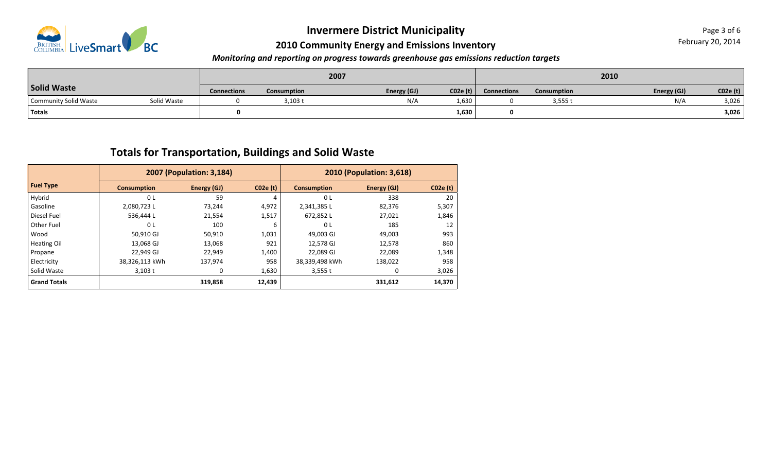

**2010 Community Energy and Emissions Inventory**

### *Monitoring and reporting on progress towards greenhouse gas emissions reduction targets*

|                       |             |                    |             | 2007        |         |                    |             | 2010        |         |
|-----------------------|-------------|--------------------|-------------|-------------|---------|--------------------|-------------|-------------|---------|
| <b>Solid Waste</b>    |             | <b>Connections</b> | Consumption | Energy (GJ) | CO2e(t) | <b>Connections</b> | Consumption | Energy (GJ) | CO2e(t) |
| Community Solid Waste | Solid Waste |                    | 3,103t      | N/A         | 1,630   |                    | 3,555 t     | N/A         | 3,026   |
| Totals                |             |                    |             |             | 1,630   |                    |             |             | 3,026   |

# **Totals for Transportation, Buildings and Solid Waste**

|                     |                    | 2007 (Population: 3,184) |         | 2010 (Population: 3,618) |             |         |  |  |
|---------------------|--------------------|--------------------------|---------|--------------------------|-------------|---------|--|--|
| <b>Fuel Type</b>    | <b>Consumption</b> | Energy (GJ)              | CO2e(t) | <b>Consumption</b>       | Energy (GJ) | CO2e(t) |  |  |
| Hybrid              | 0 <sub>L</sub>     | 59                       | 4       | 0 <sub>L</sub>           | 338         | 20      |  |  |
| Gasoline            | 2,080,723L         | 73,244                   | 4,972   | 2,341,385L               | 82,376      | 5,307   |  |  |
| Diesel Fuel         | 536.444L           | 21,554                   | 1,517   | 672.852L                 | 27,021      | 1,846   |  |  |
| Other Fuel          | 0 L                | 100                      | 6       | 0 L                      | 185         | 12      |  |  |
| Wood                | 50.910 GJ          | 50,910                   | 1.031   | 49.003 GJ                | 49,003      | 993     |  |  |
| <b>Heating Oil</b>  | 13.068 GJ          | 13,068                   | 921     | 12.578 GJ                | 12,578      | 860     |  |  |
| Propane             | 22.949 GJ          | 22.949                   | 1,400   | 22.089 GJ                | 22,089      | 1,348   |  |  |
| Electricity         | 38,326,113 kWh     | 137,974                  | 958     | 38,339,498 kWh           | 138,022     | 958     |  |  |
| Solid Waste         | $3,103$ t          | 0                        | 1,630   | 3,555t                   | 0           | 3,026   |  |  |
| <b>Grand Totals</b> |                    | 319,858                  | 12,439  |                          | 331,612     | 14,370  |  |  |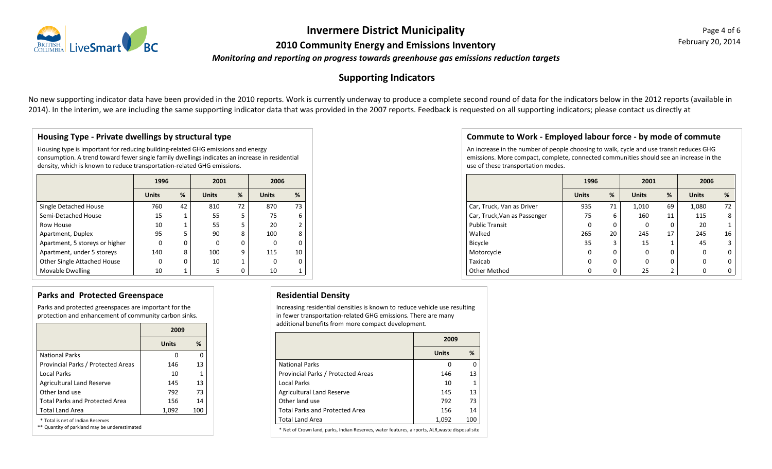

**2010 Community Energy and Emissions Inventory**

Page 4 of 6 February 20, 2014

*Monitoring and reporting on progress towards greenhouse gas emissions reduction targets*

### **Supporting Indicators**

No new supporting indicator data have been provided in the 2010 reports. Work is currently underway to produce a complete second round of data for the indicators below in the 2012 reports (available in 2014). In the interim, we are including the same supporting indicator data that was provided in the 2007 reports. Feedback is requested on all supporting indicators; please contact us directly at

#### **Housing Type - Private dwellings by structural type**

Housing type is important for reducing building-related GHG emissions and energy consumption. A trend toward fewer single family dwellings indicates an increase in residential density, which is known to reduce transportation-related GHG emissions.

|                                    | 1996         |    | 2001         |    | 2006         |          |  |
|------------------------------------|--------------|----|--------------|----|--------------|----------|--|
|                                    | <b>Units</b> | %  | <b>Units</b> | %  | <b>Units</b> | %        |  |
| Single Detached House              | 760          | 42 | 810          | 72 | 870          | 73       |  |
| Semi-Detached House                | 15           | 1  | 55           | 5  | 75           | 6        |  |
| Row House                          | 10           | 1  | 55           | 5  | 20           | 2        |  |
| Apartment, Duplex                  | 95           | 5  | 90           | 8  | 100          | 8        |  |
| Apartment, 5 storeys or higher     | 0            | 0  | $\Omega$     | 0  | 0            | 0        |  |
| Apartment, under 5 storeys         | 140          | 8  | 100          | 9  | 115          | 10       |  |
| <b>Other Single Attached House</b> | 0            | 0  | 10           | 1  | $\Omega$     | $\Omega$ |  |
| <b>Movable Dwelling</b>            | 10           | 1  | 5            | 0  | 10           | 1        |  |

#### **Parks and Protected Greenspace**

Parks and protected greenspaces are important for the protection and enhancement of community carbon sinks.

|                                                                                    | 2009         |     |
|------------------------------------------------------------------------------------|--------------|-----|
|                                                                                    | <b>Units</b> | %   |
| <b>National Parks</b>                                                              |              | n   |
| Provincial Parks / Protected Areas                                                 | 146          | 13  |
| <b>Local Parks</b>                                                                 | 10           |     |
| <b>Agricultural Land Reserve</b>                                                   | 145          | 13  |
| Other land use                                                                     | 792          | 73  |
| <b>Total Parks and Protected Area</b>                                              | 156          | 14  |
| <b>Total Land Area</b>                                                             | 1,092        | 100 |
| * Total is net of Indian Reserves<br>** Quantity of parkland may be underestimated |              |     |

#### **Residential Density**

Increasing residential densities is known to reduce vehicle use resulting in fewer transportation-related GHG emissions. There are many additional benefits from more compact development.

|                                                                                                 | 2009         |     |
|-------------------------------------------------------------------------------------------------|--------------|-----|
|                                                                                                 | <b>Units</b> | %   |
| <b>National Parks</b>                                                                           | n            | U   |
| Provincial Parks / Protected Areas                                                              | 146          | 13  |
| Local Parks                                                                                     | 10           |     |
| Agricultural Land Reserve                                                                       | 145          | 13  |
| Other land use                                                                                  | 792          | 73  |
| <b>Total Parks and Protected Area</b>                                                           | 156          | 14  |
| <b>Total Land Area</b>                                                                          | 1,092        | 100 |
| * Net of Crown land, parks, Indian Reserves, water features, airports, ALR, waste disposal site |              |     |

#### **Commute to Work - Employed labour force - by mode of commute**

An increase in the number of people choosing to walk, cycle and use transit reduces GHG emissions. More compact, complete, connected communities should see an increase in the use of these transportation modes.

|                              | 1996         |          | 2001         |    | 2006         |    |  |
|------------------------------|--------------|----------|--------------|----|--------------|----|--|
|                              | <b>Units</b> | %        | <b>Units</b> | %  | <b>Units</b> | %  |  |
| Car, Truck, Van as Driver    | 935          | 71       | 1,010        | 69 | 1,080        | 72 |  |
| Car, Truck, Van as Passenger | 75           | 6        | 160          | 11 | 115          | 8  |  |
| <b>Public Transit</b>        | 0            | $\Omega$ | 0            | 0  | 20           | 1  |  |
| Walked                       | 265          | 20       | 245          | 17 | 245          | 16 |  |
| <b>Bicycle</b>               | 35           | 3        | 15           | 1  | 45           | 3  |  |
| Motorcycle                   | 0            | $\Omega$ | $\Omega$     | 0  | 0            | 0  |  |
| Taxicab                      | $\Omega$     | $\Omega$ | $\Omega$     | 0  | 0            | 0  |  |
| Other Method                 | 0            | 0        | 25           | 2  | 0            | 0  |  |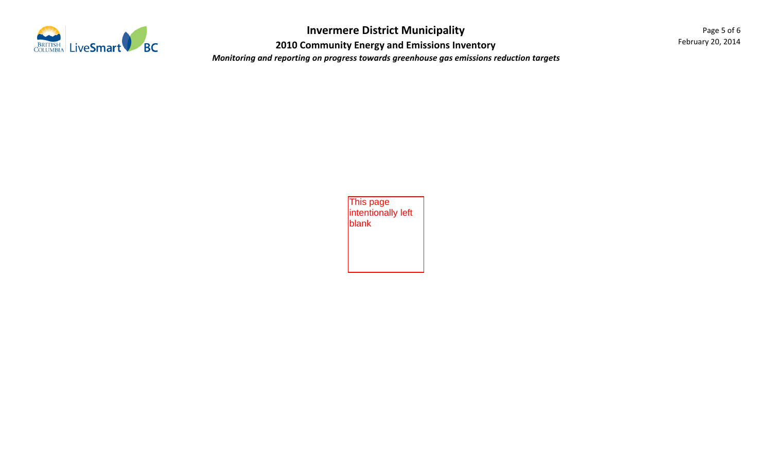

**2010 Community Energy and Emissions Inventory**

*Monitoring and reporting on progress towards greenhouse gas emissions reduction targets*

Page 5 of 6 February 20, 2014

This page intentionally left blank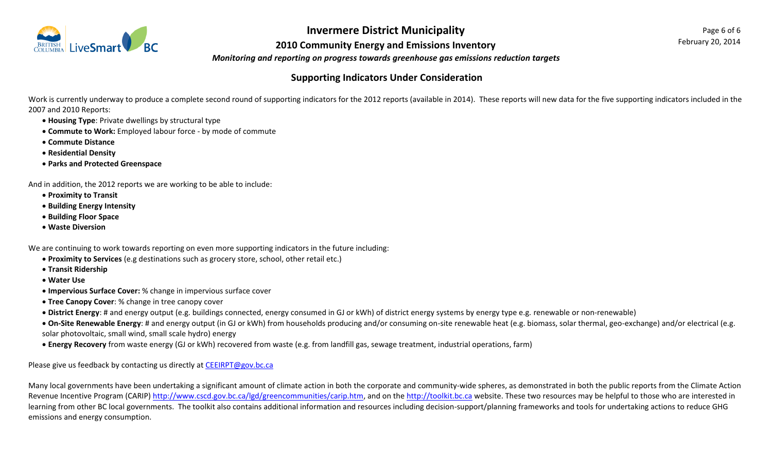

**2010 Community Energy and Emissions Inventory**

Page 6 of 6 February 20, 2014

*Monitoring and reporting on progress towards greenhouse gas emissions reduction targets*

# **Supporting Indicators Under Consideration**

Work is currently underway to produce a complete second round of supporting indicators for the 2012 reports (available in 2014). These reports will new data for the five supporting indicators included in the 2007 and 2010 Reports:

- **Housing Type**: Private dwellings by structural type
- **Commute to Work:** Employed labour force by mode of commute
- **Commute Distance**
- **Residential Density**
- **Parks and Protected Greenspace**

And in addition, the 2012 reports we are working to be able to include:

- **Proximity to Transit**
- **Building Energy Intensity**
- **Building Floor Space**
- **Waste Diversion**

We are continuing to work towards reporting on even more supporting indicators in the future including:

- **Proximity to Services** (e.g destinations such as grocery store, school, other retail etc.)
- **Transit Ridership**
- **Water Use**
- **Impervious Surface Cover:** % change in impervious surface cover
- **Tree Canopy Cover:** % change in tree canopy cover
- **District Energy**: # and energy output (e.g. buildings connected, energy consumed in GJ or kWh) of district energy systems by energy type e.g. renewable or non-renewable)
- On-Site Renewable Energy: # and energy output (in GJ or kWh) from households producing and/or consuming on-site renewable heat (e.g. biomass, solar thermal, geo-exchange) and/or electrical (e.g. solar photovoltaic, small wind, small scale hydro) energy
- **Energy Recovery** from waste energy (GJ or kWh) recovered from waste (e.g. from landfill gas, sewage treatment, industrial operations, farm)

Please give us feedback by contacting us directly at CEEIRPT@gov.bc.ca

Many local governments have been undertaking a significant amount of climate action in both the corporate and community-wide spheres, as demonstrated in both the public reports from the Climate Action Revenue Incentive Program (CARIP) http://www.cscd.gov.bc.ca/lgd/greencommunities/carip.htm, and on the http://toolkit.bc.ca website. These two resources may be helpful to those who are interested in learning from other BC local governments. The toolkit also contains additional information and resources including decision-support/planning frameworks and tools for undertaking actions to reduce GHG emissions and energy consumption.